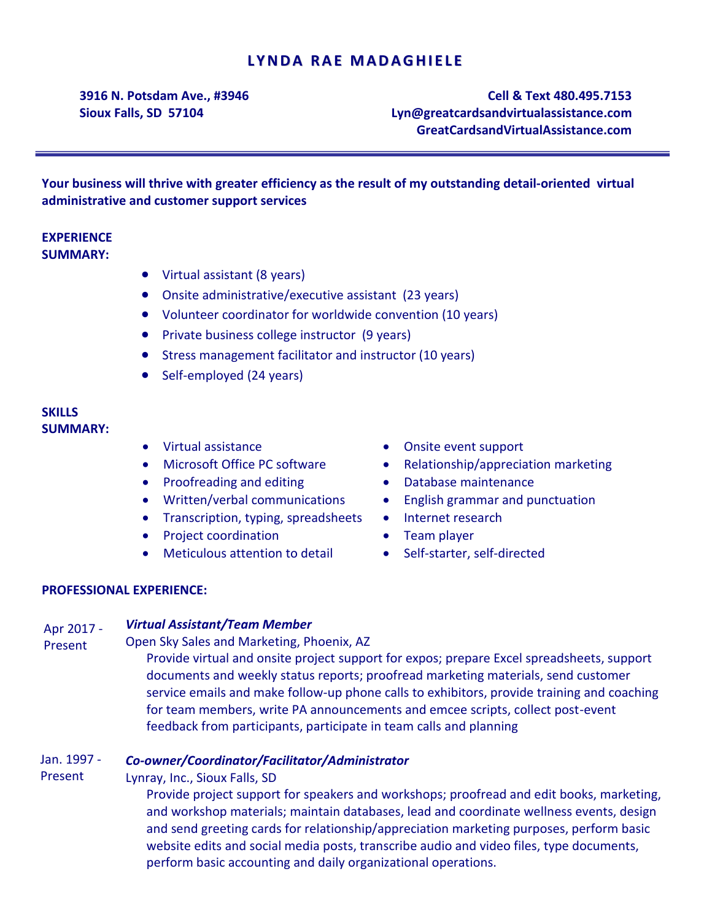# **LYNDA RAE MADAGHIELE**

**3916 N. Potsdam Ave., #3946 Sioux Falls, SD 57104**

**Cell & Text 480.495.7153 [Lyn@greatcardsandvirtualassistance.com](mailto:Lyn@theTLCenter.com) GreatCardsandVirtualAssistance.com**

**Your business will thrive with greater efficiency as the result of my outstanding detail-oriented virtual administrative and customer support services**

## **EXPERIENCE SUMMARY:**

- Virtual assistant (8 years)
- Onsite administrative/executive assistant (23 years)
- Volunteer coordinator for worldwide convention (10 years)
- Private business college instructor (9 years)
- Stress management facilitator and instructor (10 years)
- Self-employed (24 years)

### **SKILLS SUMMARY:**

- Virtual assistance
- Microsoft Office PC software
- Proofreading and editing **COV COV Database maintenance**
- 
- Transcription, typing, spreadsheets
- Project coordination
- Meticulous attention to detail
- Onsite event support
- Relationship/appreciation marketing
- 
- Written/verbal communications English grammar and punctuation
	- Internet research
	- Team player
	- Self-starter, self-directed

### **PROFESSIONAL EXPERIENCE:**

#### *Virtual Assistant/Team Member* Apr 2017 -

Open Sky Sales and Marketing, Phoenix, AZ Present

> Provide virtual and onsite project support for expos; prepare Excel spreadsheets, support documents and weekly status reports; proofread marketing materials, send customer service emails and make follow-up phone calls to exhibitors, provide training and coaching for team members, write PA announcements and emcee scripts, collect post-event feedback from participants, participate in team calls and planning

#### *Co-owner/Coordinator/Facilitator/Administrator* Jan. 1997 -

Lynray, Inc., Sioux Falls, SD Present

> Provide project support for speakers and workshops; proofread and edit books, marketing, and workshop materials; maintain databases, lead and coordinate wellness events, design and send greeting cards for relationship/appreciation marketing purposes, perform basic website edits and social media posts, transcribe audio and video files, type documents, perform basic accounting and daily organizational operations.